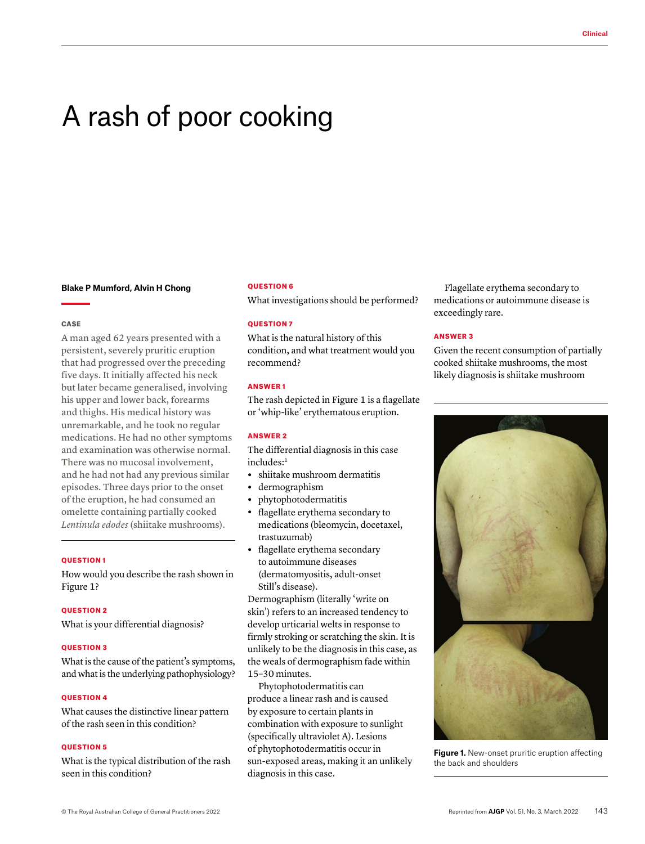# A rash of poor cooking

#### **Blake P Mumford, Alvin H Chong**

#### **CASE**

A man aged 62 years presented with a persistent, severely pruritic eruption that had progressed over the preceding five days. It initially affected his neck but later became generalised, involving his upper and lower back, forearms and thighs. His medical history was unremarkable, and he took no regular medications. He had no other symptoms and examination was otherwise normal. There was no mucosal involvement, and he had not had any previous similar episodes. Three days prior to the onset of the eruption, he had consumed an omelette containing partially cooked *Lentinula edodes* (shiitake mushrooms).

#### QUESTION 1

How would you describe the rash shown in Figure 1?

## QUESTION 2

What is your differential diagnosis?

### **OUESTION 3**

What is the cause of the patient's symptoms, and what is the underlying pathophysiology?

### **OUESTION 4**

What causes the distinctive linear pattern of the rash seen in this condition?

### QUESTION 5

What is the typical distribution of the rash seen in this condition?

#### QUESTION 6

What investigations should be performed?

## QUESTION 7

What is the natural history of this condition, and what treatment would you recommend?

# ANSWER 1

The rash depicted in Figure 1 is a flagellate or 'whip-like' erythematous eruption.

## ANSWER 2

The differential diagnosis in this case includes:1

- **•** shiitake mushroom dermatitis
- **•** dermographism
- **•** phytophotodermatitis
- **•** flagellate erythema secondary to medications (bleomycin, docetaxel, trastuzumab)
- **•** flagellate erythema secondary to autoimmune diseases (dermatomyositis, adult-onset Still's disease).

Dermographism (literally 'write on skin') refers to an increased tendency to develop urticarial welts in response to firmly stroking or scratching the skin. It is unlikely to be the diagnosis in this case, as the weals of dermographism fade within 15–30 minutes.

Phytophotodermatitis can produce a linear rash and is caused by exposure to certain plants in combination with exposure to sunlight (specifically ultraviolet A). Lesions of phytophotodermatitis occur in sun-exposed areas, making it an unlikely diagnosis in this case.

Flagellate erythema secondary to medications or autoimmune disease is exceedingly rare.

# ANSWER 3

Given the recent consumption of partially cooked shiitake mushrooms, the most likely diagnosis is shiitake mushroom



**Figure 1.** New-onset pruritic eruption affecting the back and shoulders